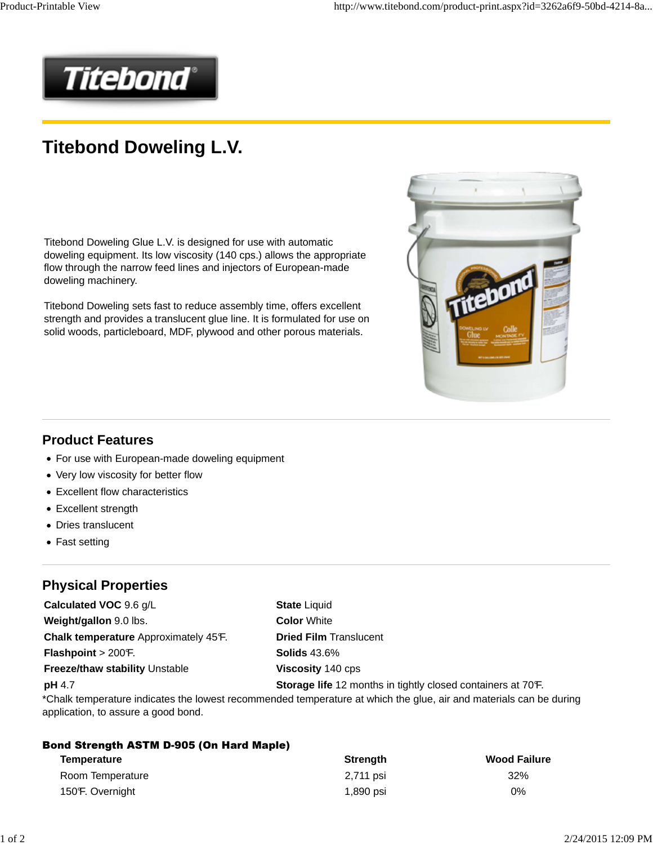

## **Titebond Doweling L.V.**

Titebond Doweling Glue L.V. is designed for use with automatic doweling equipment. Its low viscosity (140 cps.) allows the appropriate flow through the narrow feed lines and injectors of European-made doweling machinery.

Titebond Doweling sets fast to reduce assembly time, offers excellent strength and provides a translucent glue line. It is formulated for use on solid woods, particleboard, MDF, plywood and other porous materials.



#### **Product Features**

- For use with European-made doweling equipment
- Very low viscosity for better flow
- Excellent flow characteristics
- Excellent strength
- Dries translucent
- Fast setting

### **Physical Properties**

**Calculated VOC** 9.6 g/L **State Liquid Weight/gallon** 9.0 lbs. **Color White Chalk temperature** Approximately 45°F. **Dried Film** Translucent **Flashpoint** > 200°F. **Solids** 43.6% **Freeze/thaw stability Unstable <b>Viscosity** 140 cps

**pH** 4.7 **Storage life** 12 months in tightly closed containers at 70°F.

\*Chalk temperature indicates the lowest recommended temperature at which the glue, air and materials can be during application, to assure a good bond.

| <b>Bond Strength ASTM D-905 (On Hard Maple)</b> |                 |                     |  |  |  |  |
|-------------------------------------------------|-----------------|---------------------|--|--|--|--|
| Temperature                                     | <b>Strength</b> | <b>Wood Failure</b> |  |  |  |  |
| Room Temperature                                | 2,711 psi       | 32%                 |  |  |  |  |
| 150 F. Overnight                                | 1,890 psi       | 0%                  |  |  |  |  |